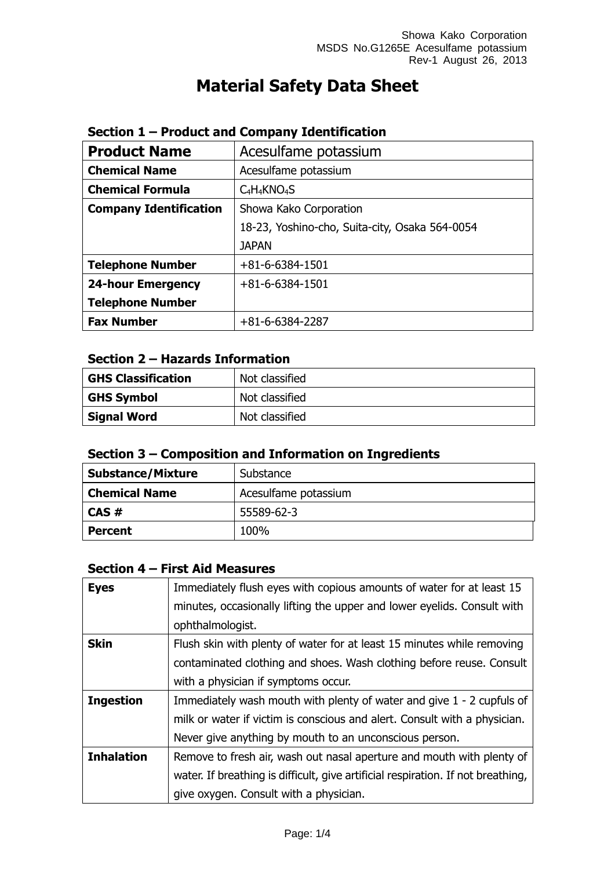# **Material Safety Data Sheet**

| <b>Product Name</b>           | Acesulfame potassium                           |  |
|-------------------------------|------------------------------------------------|--|
| <b>Chemical Name</b>          | Acesulfame potassium                           |  |
| <b>Chemical Formula</b>       | $C_4H_4KNO_4S$                                 |  |
| <b>Company Identification</b> | Showa Kako Corporation                         |  |
|                               | 18-23, Yoshino-cho, Suita-city, Osaka 564-0054 |  |
|                               | <b>JAPAN</b>                                   |  |
| <b>Telephone Number</b>       | $+81 - 6 - 6384 - 1501$                        |  |
| <b>24-hour Emergency</b>      | $+81 - 6 - 6384 - 1501$                        |  |
| <b>Telephone Number</b>       |                                                |  |
| <b>Fax Number</b>             | $+81-6-6384-2287$                              |  |

# **Section 1 – Product and Company Identification**

# **Section 2 – Hazards Information**

| <b>GHS Classification</b> | Not classified |
|---------------------------|----------------|
| <b>GHS Symbol</b>         | Not classified |
| <b>Signal Word</b>        | Not classified |

|  |  |  | Section 3 – Composition and Information on Ingredients |
|--|--|--|--------------------------------------------------------|
|--|--|--|--------------------------------------------------------|

| <b>Substance/Mixture</b> | Substance            |  |
|--------------------------|----------------------|--|
| <b>Chemical Name</b>     | Acesulfame potassium |  |
| $CAS \#$                 | 55589-62-3           |  |
| <b>Percent</b>           | 100%                 |  |

# **Section 4 – First Aid Measures**

| <b>Eyes</b>       | Immediately flush eyes with copious amounts of water for at least 15             |
|-------------------|----------------------------------------------------------------------------------|
|                   | minutes, occasionally lifting the upper and lower eyelids. Consult with          |
|                   | ophthalmologist.                                                                 |
| <b>Skin</b>       | Flush skin with plenty of water for at least 15 minutes while removing           |
|                   | contaminated clothing and shoes. Wash clothing before reuse. Consult             |
|                   | with a physician if symptoms occur.                                              |
| <b>Ingestion</b>  | Immediately wash mouth with plenty of water and give 1 - 2 cupfuls of            |
|                   | milk or water if victim is conscious and alert. Consult with a physician.        |
|                   | Never give anything by mouth to an unconscious person.                           |
| <b>Inhalation</b> | Remove to fresh air, wash out nasal aperture and mouth with plenty of            |
|                   | water. If breathing is difficult, give artificial respiration. If not breathing, |
|                   | give oxygen. Consult with a physician.                                           |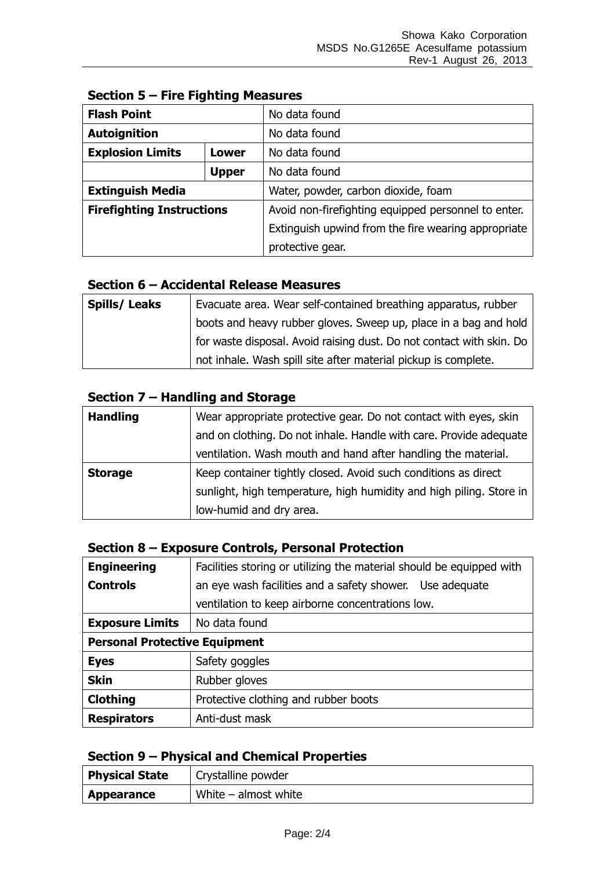| <b>Flash Point</b>                      |              | No data found                                       |
|-----------------------------------------|--------------|-----------------------------------------------------|
| <b>Autoignition</b>                     |              | No data found                                       |
| <b>Explosion Limits</b><br><b>Lower</b> |              | No data found                                       |
|                                         | <b>Upper</b> | No data found                                       |
| <b>Extinguish Media</b>                 |              | Water, powder, carbon dioxide, foam                 |
| <b>Firefighting Instructions</b>        |              | Avoid non-firefighting equipped personnel to enter. |
|                                         |              | Extinguish upwind from the fire wearing appropriate |
|                                         |              | protective gear.                                    |

# **Section 5 – Fire Fighting Measures**

#### **Section 6 – Accidental Release Measures**

| <b>Spills/Leaks</b> | Evacuate area. Wear self-contained breathing apparatus, rubber       |
|---------------------|----------------------------------------------------------------------|
|                     | boots and heavy rubber gloves. Sweep up, place in a bag and hold     |
|                     | for waste disposal. Avoid raising dust. Do not contact with skin. Do |
|                     | not inhale. Wash spill site after material pickup is complete.       |

### **Section 7 – Handling and Storage**

| <b>Handling</b> | Wear appropriate protective gear. Do not contact with eyes, skin    |
|-----------------|---------------------------------------------------------------------|
|                 | and on clothing. Do not inhale. Handle with care. Provide adequate  |
|                 | ventilation. Wash mouth and hand after handling the material.       |
| <b>Storage</b>  | Keep container tightly closed. Avoid such conditions as direct      |
|                 | sunlight, high temperature, high humidity and high piling. Store in |
|                 | low-humid and dry area.                                             |

#### **Section 8 – Exposure Controls, Personal Protection**

| <b>Engineering</b>                   | Facilities storing or utilizing the material should be equipped with |  |
|--------------------------------------|----------------------------------------------------------------------|--|
| <b>Controls</b>                      | an eye wash facilities and a safety shower. Use adequate             |  |
|                                      | ventilation to keep airborne concentrations low.                     |  |
| <b>Exposure Limits</b>               | No data found                                                        |  |
| <b>Personal Protective Equipment</b> |                                                                      |  |
| <b>Eyes</b>                          | Safety goggles                                                       |  |
| <b>Skin</b>                          | Rubber gloves                                                        |  |
| <b>Clothing</b>                      | Protective clothing and rubber boots                                 |  |
| <b>Respirators</b>                   | Anti-dust mask                                                       |  |

#### **Section 9 – Physical and Chemical Properties**

| <b>Physical State</b> | Crystalline powder     |
|-----------------------|------------------------|
| <b>Appearance</b>     | White $-$ almost white |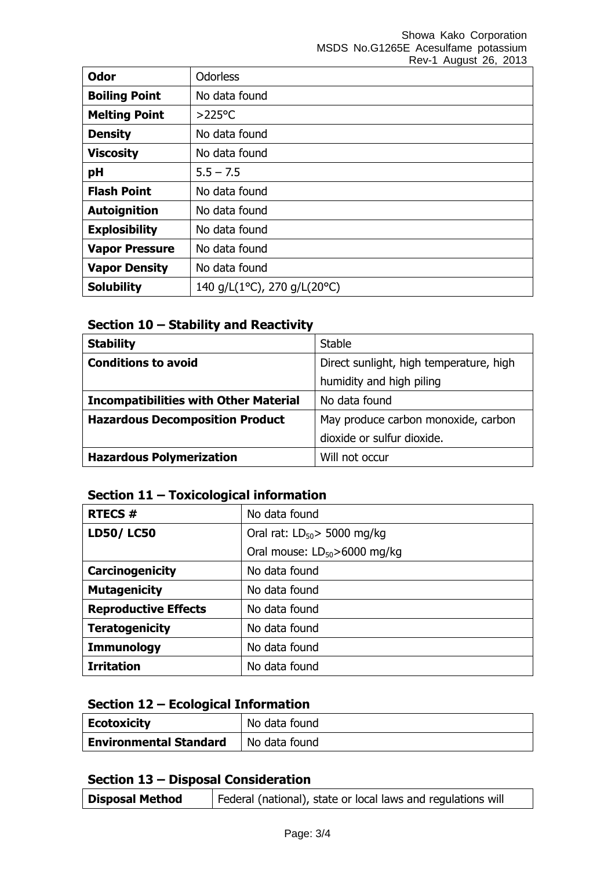| <b>Odor</b>           | <b>Odorless</b>             |
|-----------------------|-----------------------------|
| <b>Boiling Point</b>  | No data found               |
| <b>Melting Point</b>  | $>225$ °C                   |
| <b>Density</b>        | No data found               |
| <b>Viscosity</b>      | No data found               |
| pH                    | $5.5 - 7.5$                 |
| <b>Flash Point</b>    | No data found               |
| <b>Autoignition</b>   | No data found               |
| <b>Explosibility</b>  | No data found               |
| <b>Vapor Pressure</b> | No data found               |
| <b>Vapor Density</b>  | No data found               |
| <b>Solubility</b>     | 140 g/L(1°C), 270 g/L(20°C) |

# **Section 10 – Stability and Reactivity**

| <b>Stability</b>                             | <b>Stable</b>                           |
|----------------------------------------------|-----------------------------------------|
| <b>Conditions to avoid</b>                   | Direct sunlight, high temperature, high |
|                                              | humidity and high piling                |
| <b>Incompatibilities with Other Material</b> | No data found                           |
| <b>Hazardous Decomposition Product</b>       | May produce carbon monoxide, carbon     |
|                                              | dioxide or sulfur dioxide.              |
| <b>Hazardous Polymerization</b>              | Will not occur                          |

# **Section 11 – Toxicological information**

| <b>RTECS#</b>               | No data found                      |
|-----------------------------|------------------------------------|
| <b>LD50/LC50</b>            | Oral rat: $LD_{50}$ > 5000 mg/kg   |
|                             | Oral mouse: $LD_{50} > 6000$ mg/kg |
| Carcinogenicity             | No data found                      |
| <b>Mutagenicity</b>         | No data found                      |
| <b>Reproductive Effects</b> | No data found                      |
| <b>Teratogenicity</b>       | No data found                      |
| <b>Immunology</b>           | No data found                      |
| <b>Irritation</b>           | No data found                      |

#### **Section 12 – Ecological Information**

| <b>Ecotoxicity</b>            | No data found |
|-------------------------------|---------------|
| <b>Environmental Standard</b> | No data found |

#### **Section 13 – Disposal Consideration**

| <b>Disposal Method</b> | Federal (national), state or local laws and regulations will |
|------------------------|--------------------------------------------------------------|
|------------------------|--------------------------------------------------------------|